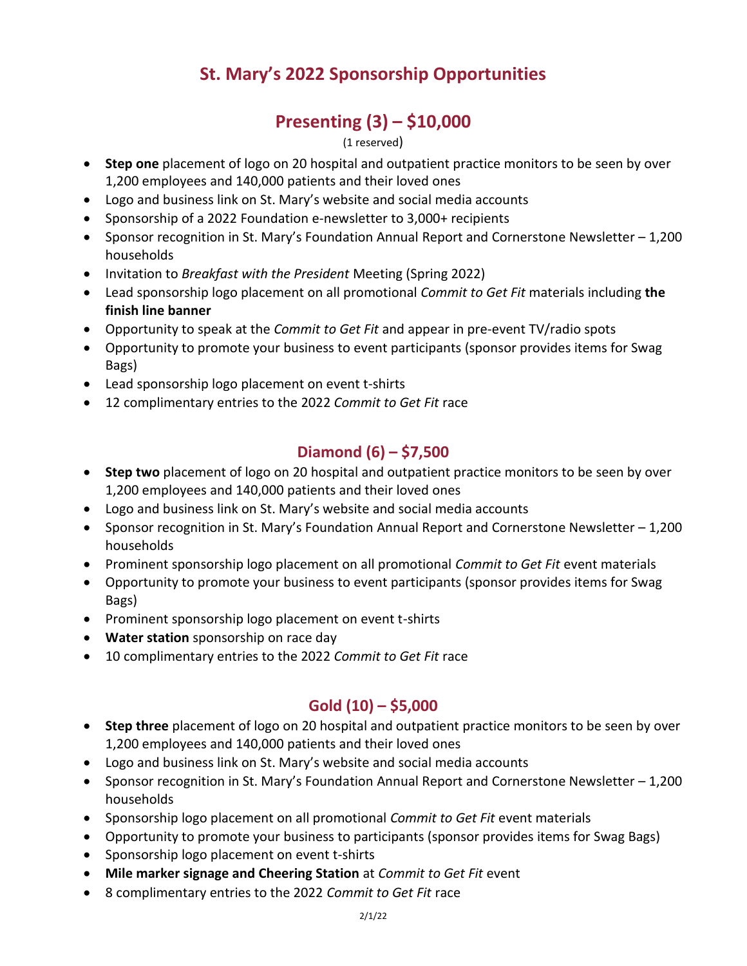# **St. Mary's 2022 Sponsorship Opportunities**

# **Presenting (3) – \$10,000**

#### (1 reserved)

- **Step one** placement of logo on 20 hospital and outpatient practice monitors to be seen by over 1,200 employees and 140,000 patients and their loved ones
- Logo and business link on St. Mary's website and social media accounts
- Sponsorship of a 2022 Foundation e-newsletter to 3,000+ recipients
- Sponsor recognition in St. Mary's Foundation Annual Report and Cornerstone Newsletter 1,200 households
- Invitation to *Breakfast with the President* Meeting (Spring 2022)
- Lead sponsorship logo placement on all promotional *Commit to Get Fit* materials including **the finish line banner**
- Opportunity to speak at the *Commit to Get Fit* and appear in pre-event TV/radio spots
- Opportunity to promote your business to event participants (sponsor provides items for Swag Bags)
- Lead sponsorship logo placement on event t-shirts
- 12 complimentary entries to the 2022 *Commit to Get Fit* race

### **Diamond (6) – \$7,500**

- **Step two** placement of logo on 20 hospital and outpatient practice monitors to be seen by over 1,200 employees and 140,000 patients and their loved ones
- Logo and business link on St. Mary's website and social media accounts
- Sponsor recognition in St. Mary's Foundation Annual Report and Cornerstone Newsletter 1,200 households
- Prominent sponsorship logo placement on all promotional *Commit to Get Fit* event materials
- Opportunity to promote your business to event participants (sponsor provides items for Swag Bags)
- Prominent sponsorship logo placement on event t-shirts
- **Water station** sponsorship on race day
- 10 complimentary entries to the 2022 *Commit to Get Fit* race

#### **Gold (10) – \$5,000**

- **Step three** placement of logo on 20 hospital and outpatient practice monitors to be seen by over 1,200 employees and 140,000 patients and their loved ones
- Logo and business link on St. Mary's website and social media accounts
- Sponsor recognition in St. Mary's Foundation Annual Report and Cornerstone Newsletter 1,200 households
- Sponsorship logo placement on all promotional *Commit to Get Fit* event materials
- Opportunity to promote your business to participants (sponsor provides items for Swag Bags)
- Sponsorship logo placement on event t-shirts
- **Mile marker signage and Cheering Station** at *Commit to Get Fit* event
- 8 complimentary entries to the 2022 *Commit to Get Fit* race